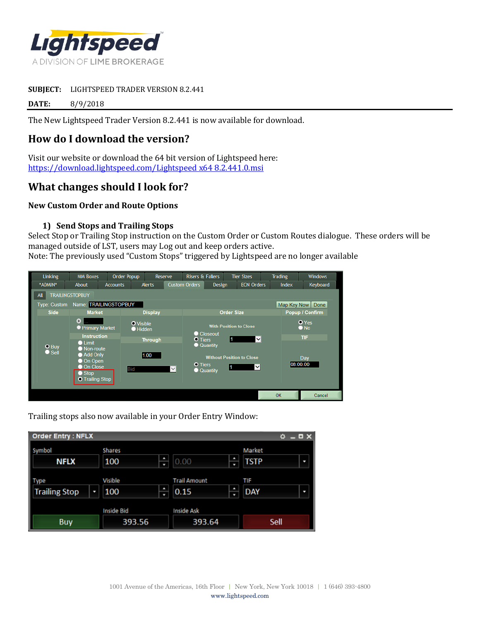

#### **SUBJECT:** LIGHTSPEED TRADER VERSION 8.2.441

**DATE:** 8/9/2018

The New Lightspeed Trader Version 8.2.441 is now available for download.

# **How do I download the version?**

Visit our website or download the 64 bit version of Lightspeed here: [https://download.lightspeed.com/Lightspeed x64 8.2.441.0.msi](https://download.lightspeed.com/Lightspeed%20x64%208.2.441.0.msi)

## **What changes should I look for?**

### **New Custom Order and Route Options**

### **1) Send Stops and Trailing Stops**

Select Stop or Trailing Stop instruction on the Custom Order or Custom Routes dialogue. These orders will be managed outside of LST, users may Log out and keep orders active.

Note: The previously used "Custom Stops" triggered by Lightspeed are no longer available



Trailing stops also now available in your Order Entry Window:

| <b>Order Entry: NFLX</b>     |                             |                                       | - 0 X<br>۰                 |
|------------------------------|-----------------------------|---------------------------------------|----------------------------|
| Symbol<br><b>NFLX</b>        | Shares<br>٩<br>100<br>٠     | ٩<br> 0.00<br>u                       | Market<br><b>TSTP</b><br>D |
| Type<br><b>Trailing Stop</b> | Visible<br>٠<br>100<br>۳    | <b>Trail Amount</b><br>₽<br>0.15<br>۰ | TIF<br><b>DAY</b><br>J     |
| <b>Buy</b>                   | <b>Inside Bid</b><br>393.56 | <b>Inside Ask</b><br>393.64           | Sell                       |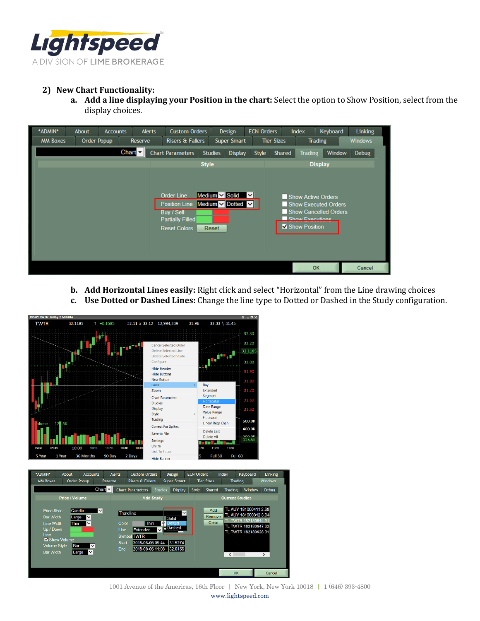

## **2) New Chart Functionality:**

**a. Add a line displaying your Position in the chart:** Select the option to Show Position, select from the display choices.

| <b>Tier Sizes</b><br><b>Windows</b><br>Order Popup<br><b>Risers &amp; Fallers</b><br>Super Smart<br><b>MM Boxes</b><br>Reserve<br><b>Trading</b><br>Chart $\nabla$<br><b>Chart Parameters</b><br><b>Studies</b><br>Style<br>Window<br><b>Debug</b><br><b>Display</b><br>Shared<br><b>Trading</b><br><b>Style</b><br><b>Display</b><br>Medium $\vee$ Solid $\vee$<br><b>Order Line</b><br>Show Active Orders<br>Medium V Dotted V<br>Position Line<br>Show Executed Orders<br>Show Cancelled Orders<br><b>Buy / Sell</b><br>Show Executions<br><b>Partially Filled</b><br>Show Position<br><b>Reset Colors</b><br>Reset | *ADMIN* | About | <b>Accounts</b> |  | <b>Alerts</b> | <b>Custom Orders</b> |  |  | Design | <b>ECN Orders</b> |  | Index | Keyboard | Linking |  |
|------------------------------------------------------------------------------------------------------------------------------------------------------------------------------------------------------------------------------------------------------------------------------------------------------------------------------------------------------------------------------------------------------------------------------------------------------------------------------------------------------------------------------------------------------------------------------------------------------------------------|---------|-------|-----------------|--|---------------|----------------------|--|--|--------|-------------------|--|-------|----------|---------|--|
|                                                                                                                                                                                                                                                                                                                                                                                                                                                                                                                                                                                                                        |         |       |                 |  |               |                      |  |  |        |                   |  |       |          |         |  |
|                                                                                                                                                                                                                                                                                                                                                                                                                                                                                                                                                                                                                        |         |       |                 |  |               |                      |  |  |        |                   |  |       |          |         |  |
|                                                                                                                                                                                                                                                                                                                                                                                                                                                                                                                                                                                                                        |         |       |                 |  |               |                      |  |  |        |                   |  |       |          |         |  |
|                                                                                                                                                                                                                                                                                                                                                                                                                                                                                                                                                                                                                        |         |       |                 |  |               |                      |  |  |        |                   |  |       |          |         |  |

- **b. Add Horizontal Lines easily:** Right click and select "Horizontal" from the Line drawing choices
- **c. Use Dotted or Dashed Lines:** Change the line type to Dotted or Dashed in the Study configuration.





1001 Avenue of the Americas, 16th Floor | New York, New York 10018 | 1 (646) 393-4800 www.lightspeed.com